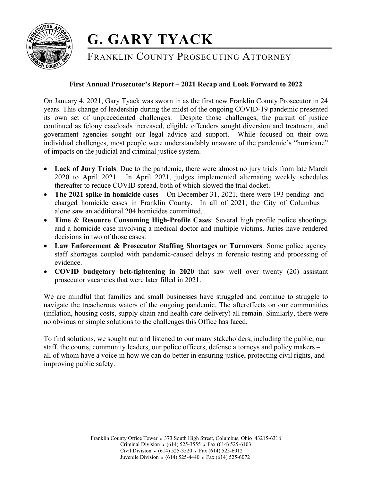

## **G. GARY TYACK**

## FRANKLIN COUNTY PROSECUTING ATTORNEY

## **First Annual Prosecutor's Report – 2021 Recap and Look Forward to 2022**

On January 4, 2021, Gary Tyack was sworn in as the first new Franklin County Prosecutor in 24 years. This change of leadership during the midst of the ongoing COVID-19 pandemic presented its own set of unprecedented challenges. Despite those challenges, the pursuit of justice continued as felony caseloads increased, eligible offenders sought diversion and treatment, and government agencies sought our legal advice and support. While focused on their own individual challenges, most people were understandably unaware of the pandemic's "hurricane" of impacts on the judicial and criminal justice system.

- **Lack of Jury Trials**: Due to the pandemic, there were almost no jury trials from late March 2020 to April 2021. In April 2021, judges implemented alternating weekly schedules thereafter to reduce COVID spread, both of which slowed the trial docket.
- **The 2021 spike in homicide cases** On December 31, 2021, there were 193 pending and charged homicide cases in Franklin County. In all of 2021, the City of Columbus alone saw an additional 204 homicides committed.
- **Time & Resource Consuming High-Profile Cases**: Several high profile police shootings and a homicide case involving a medical doctor and multiple victims. Juries have rendered decisions in two of those cases.
- **Law Enforcement & Prosecutor Staffing Shortages or Turnovers**: Some police agency staff shortages coupled with pandemic-caused delays in forensic testing and processing of evidence.
- **COVID budgetary belt-tightening in 2020** that saw well over twenty (20) assistant prosecutor vacancies that were later filled in 2021.

We are mindful that families and small businesses have struggled and continue to struggle to navigate the treacherous waters of the ongoing pandemic. The aftereffects on our communities (inflation, housing costs, supply chain and health care delivery) all remain. Similarly, there were no obvious or simple solutions to the challenges this Office has faced.

To find solutions, we sought out and listened to our many stakeholders, including the public, our staff, the courts, community leaders, our police officers, defense attorneys and policy makers – all of whom have a voice in how we can do better in ensuring justice, protecting civil rights, and improving public safety.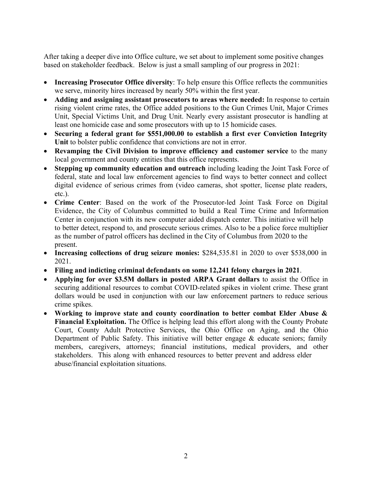After taking a deeper dive into Office culture, we set about to implement some positive changes based on stakeholder feedback. Below is just a small sampling of our progress in 2021:

- **Increasing Prosecutor Office diversity**: To help ensure this Office reflects the communities we serve, minority hires increased by nearly 50% within the first year.
- **Adding and assigning assistant prosecutors to areas where needed:** In response to certain rising violent crime rates, the Office added positions to the Gun Crimes Unit, Major Crimes Unit, Special Victims Unit, and Drug Unit. Nearly every assistant prosecutor is handling at least one homicide case and some prosecutors with up to 15 homicide cases.
- **Securing a federal grant for \$551,000.00 to establish a first ever Conviction Integrity Unit** to bolster public confidence that convictions are not in error.
- **Revamping the Civil Division to improve efficiency and customer service** to the many local government and county entities that this office represents.
- **Stepping up community education and outreach** including leading the Joint Task Force of federal, state and local law enforcement agencies to find ways to better connect and collect digital evidence of serious crimes from (video cameras, shot spotter, license plate readers, etc.).
- **Crime Center**: Based on the work of the Prosecutor-led Joint Task Force on Digital Evidence, the City of Columbus committed to build a Real Time Crime and Information Center in conjunction with its new computer aided dispatch center. This initiative will help to better detect, respond to, and prosecute serious crimes. Also to be a police force multiplier as the number of patrol officers has declined in the City of Columbus from 2020 to the present.
- **Increasing collections of drug seizure monies:** \$284,535.81 in 2020 to over \$538,000 in 2021.
- **Filing and indicting criminal defendants on some 12,241 felony charges in 2021**.
- **Applying for over \$3.5M dollars in posted ARPA Grant dollars** to assist the Office in securing additional resources to combat COVID-related spikes in violent crime. These grant dollars would be used in conjunction with our law enforcement partners to reduce serious crime spikes.
- **Working to improve state and county coordination to better combat Elder Abuse & Financial Exploitation.** The Office is helping lead this effort along with the County Probate Court, County Adult Protective Services, the Ohio Office on Aging, and the Ohio Department of Public Safety. This initiative will better engage  $\&$  educate seniors; family members, caregivers, attorneys; financial institutions, medical providers, and other stakeholders. This along with enhanced resources to better prevent and address elder abuse/financial exploitation situations.